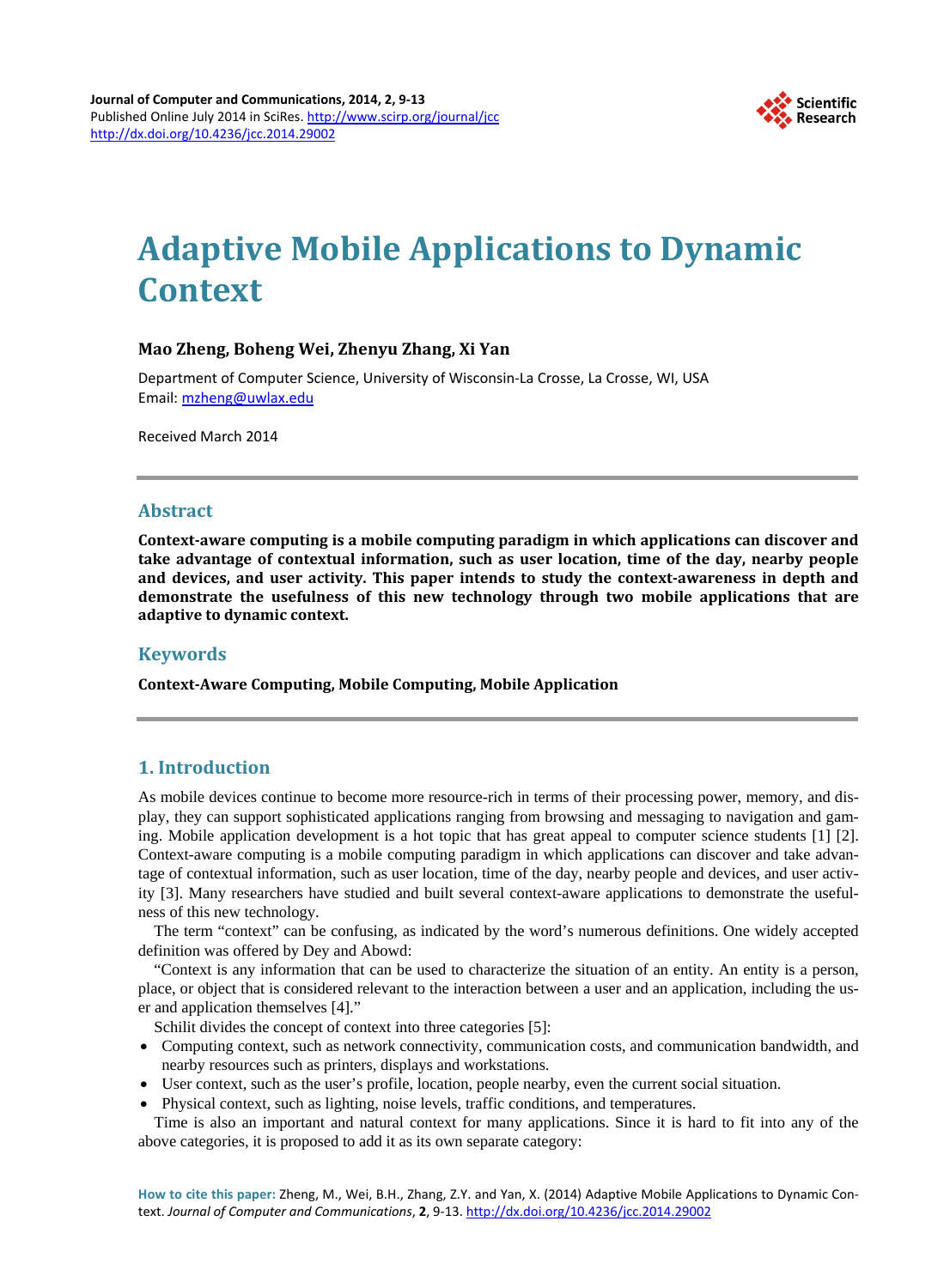

# **Adaptive Mobile Applications to Dynamic Context**

## **Mao Zheng, Boheng Wei, Zhenyu Zhang, Xi Yan**

Department of Computer Science, University of Wisconsin-La Crosse, La Crosse, WI, USA Email: [mzheng@uwlax.edu](mailto:mzheng@uwlax.edu)

Received March 2014

### **Abstract**

**Context-aware computing is a mobile computing paradigm in which applications can discover and take advantage of contextual information, such as user location, time of the day, nearby people and devices, and user activity. This paper intends to study the context-awareness in depth and demonstrate the usefulness of this new technology through two mobile applications that are adaptive to dynamic context.**

## **Keywords**

**Context-Aware Computing, Mobile Computing, Mobile Application**

## **1. Introduction**

As mobile devices continue to become more resource-rich in terms of their processing power, memory, and display, they can support sophisticated applications ranging from browsing and messaging to navigation and gaming. Mobile application development is a hot topic that has great appeal to computer science students [1] [2]. Context-aware computing is a mobile computing paradigm in which applications can discover and take advantage of contextual information, such as user location, time of the day, nearby people and devices, and user activity [3]. Many researchers have studied and built several context-aware applications to demonstrate the usefulness of this new technology.

The term "context" can be confusing, as indicated by the word's numerous definitions. One widely accepted definition was offered by Dey and Abowd:

"Context is any information that can be used to characterize the situation of an entity. An entity is a person, place, or object that is considered relevant to the interaction between a user and an application, including the user and application themselves [4]."

Schilit divides the concept of context into three categories [5]:

- Computing context, such as network connectivity, communication costs, and communication bandwidth, and nearby resources such as printers, displays and workstations.
- User context, such as the user's profile, location, people nearby, even the current social situation.
- Physical context, such as lighting, noise levels, traffic conditions, and temperatures.

Time is also an important and natural context for many applications. Since it is hard to fit into any of the above categories, it is proposed to add it as its own separate category: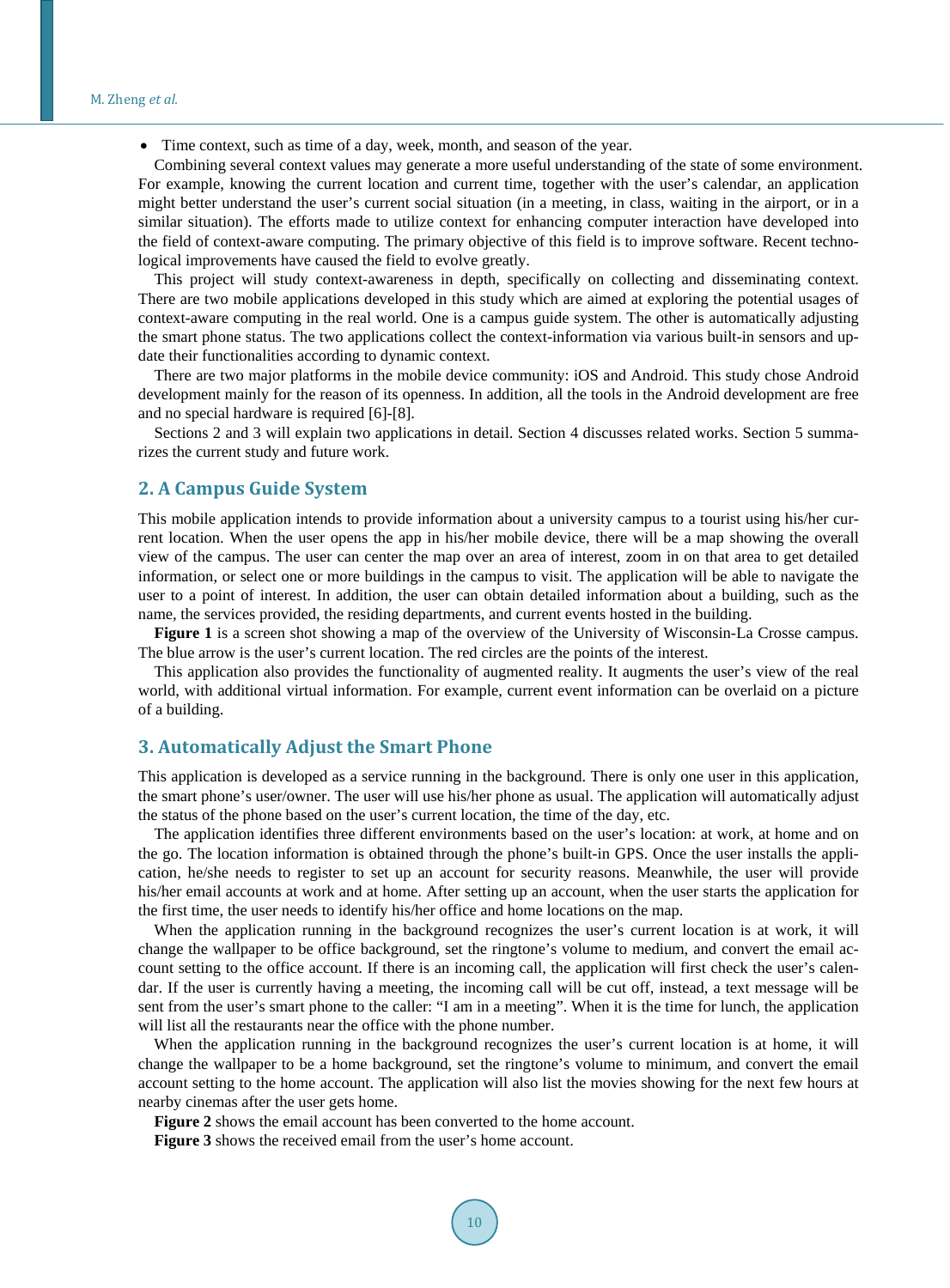• Time context, such as time of a day, week, month, and season of the year.

Combining several context values may generate a more useful understanding of the state of some environment. For example, knowing the current location and current time, together with the user's calendar, an application might better understand the user's current social situation (in a meeting, in class, waiting in the airport, or in a similar situation). The efforts made to utilize context for enhancing computer interaction have developed into the field of context-aware computing. The primary objective of this field is to improve software. Recent technological improvements have caused the field to evolve greatly.

This project will study context-awareness in depth, specifically on collecting and disseminating context. There are two mobile applications developed in this study which are aimed at exploring the potential usages of context-aware computing in the real world. One is a campus guide system. The other is automatically adjusting the smart phone status. The two applications collect the context-information via various built-in sensors and update their functionalities according to dynamic context.

There are two major platforms in the mobile device community: iOS and Android. This study chose Android development mainly for the reason of its openness. In addition, all the tools in the Android development are free and no special hardware is required [6]-[8].

Sections 2 and 3 will explain two applications in detail. Section 4 discusses related works. Section 5 summarizes the current study and future work.

#### **2. A Campus Guide System**

This mobile application intends to provide information about a university campus to a tourist using his/her current location. When the user opens the app in his/her mobile device, there will be a map showing the overall view of the campus. The user can center the map over an area of interest, zoom in on that area to get detailed information, or select one or more buildings in the campus to visit. The application will be able to navigate the user to a point of interest. In addition, the user can obtain detailed information about a building, such as the name, the services provided, the residing departments, and current events hosted in the building.

**Figure 1** is a screen shot showing a map of the overview of the University of Wisconsin-La Crosse campus. The blue arrow is the user's current location. The red circles are the points of the interest.

This application also provides the functionality of augmented reality. It augments the user's view of the real world, with additional virtual information. For example, current event information can be overlaid on a picture of a building.

#### **3. Automatically Adjust the Smart Phone**

This application is developed as a service running in the background. There is only one user in this application, the smart phone's user/owner. The user will use his/her phone as usual. The application will automatically adjust the status of the phone based on the user's current location, the time of the day, etc.

The application identifies three different environments based on the user's location: at work, at home and on the go. The location information is obtained through the phone's built-in GPS. Once the user installs the application, he/she needs to register to set up an account for security reasons. Meanwhile, the user will provide his/her email accounts at work and at home. After setting up an account, when the user starts the application for the first time, the user needs to identify his/her office and home locations on the map.

When the application running in the background recognizes the user's current location is at work, it will change the wallpaper to be office background, set the ringtone's volume to medium, and convert the email account setting to the office account. If there is an incoming call, the application will first check the user's calendar. If the user is currently having a meeting, the incoming call will be cut off, instead, a text message will be sent from the user's smart phone to the caller: "I am in a meeting". When it is the time for lunch, the application will list all the restaurants near the office with the phone number.

When the application running in the background recognizes the user's current location is at home, it will change the wallpaper to be a home background, set the ringtone's volume to minimum, and convert the email account setting to the home account. The application will also list the movies showing for the next few hours at nearby cinemas after the user gets home.

**Figure 2** shows the email account has been converted to the home account.

**Figure 3** shows the received email from the user's home account.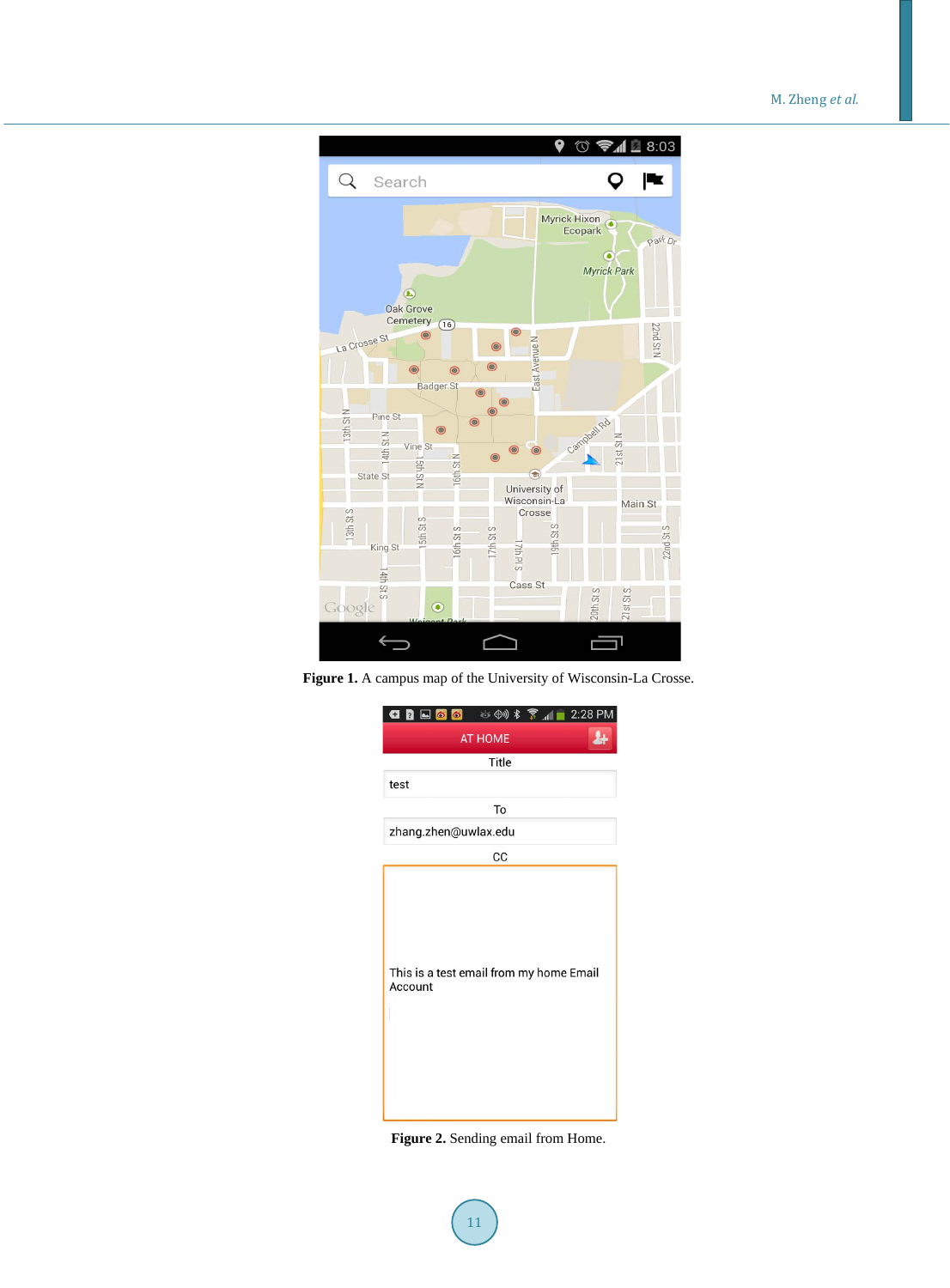M. Zheng *et al.*



**Figure 1.** A campus map of the University of Wisconsin-La Crosse.



**Figure 2.** Sending email from Home.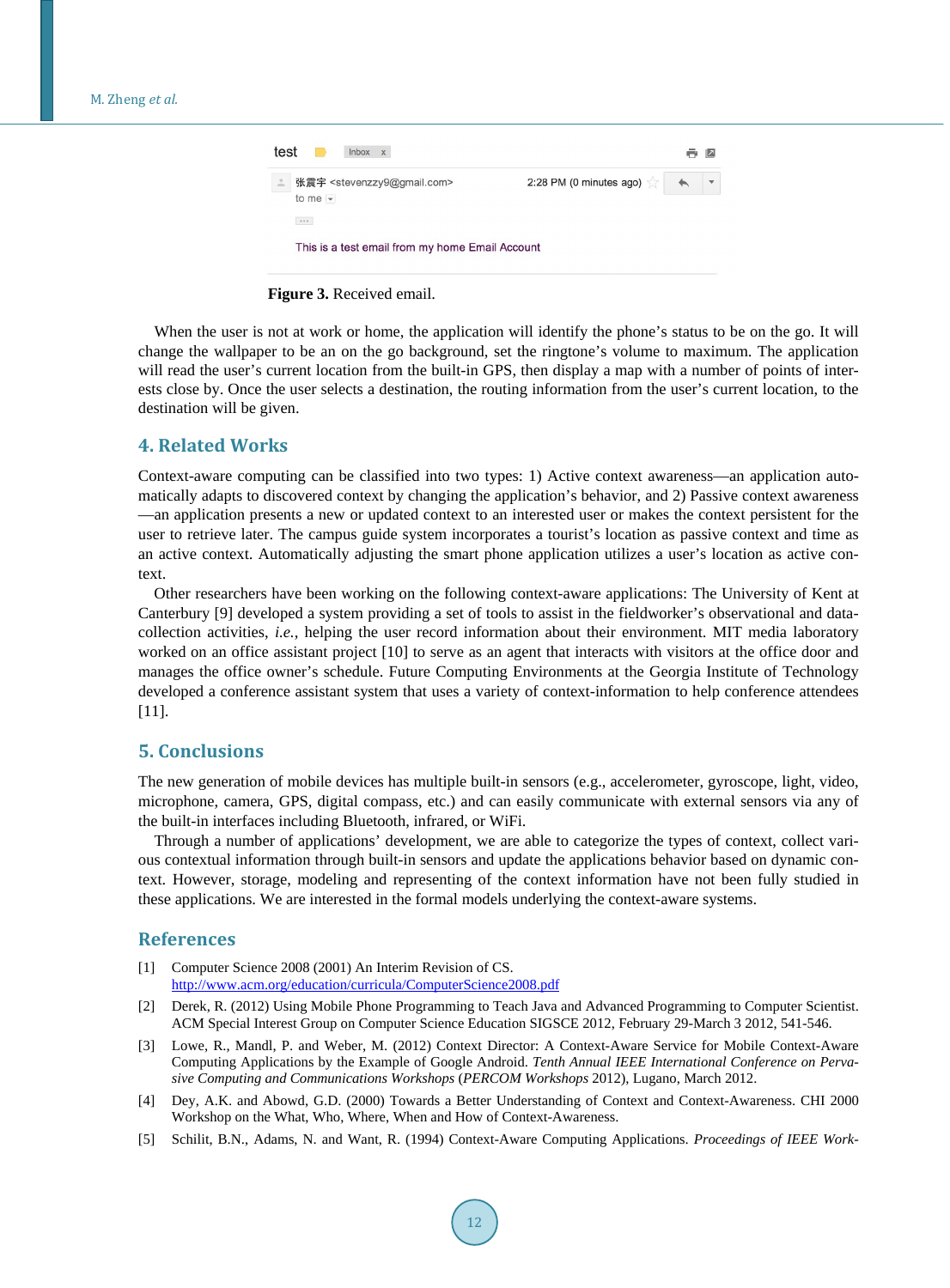| test<br>Inbox x |                                                                                                 |                                    |  |  |
|-----------------|-------------------------------------------------------------------------------------------------|------------------------------------|--|--|
|                 | 张震宇 <stevenzzy9@gmail.com><br/>to me <math>\overline{\phantom{a}}</math></stevenzzy9@gmail.com> | 2:28 PM (0 minutes ago) $\sqrt{ }$ |  |  |
|                 | $\approx$ $\approx$ $\approx$                                                                   |                                    |  |  |
|                 | This is a test email from my home Email Account                                                 |                                    |  |  |

**Figure 3.** Received email.

When the user is not at work or home, the application will identify the phone's status to be on the go. It will change the wallpaper to be an on the go background, set the ringtone's volume to maximum. The application will read the user's current location from the built-in GPS, then display a map with a number of points of interests close by. Once the user selects a destination, the routing information from the user's current location, to the destination will be given.

#### **4. Related Works**

Context-aware computing can be classified into two types: 1) Active context awareness—an application automatically adapts to discovered context by changing the application's behavior, and 2) Passive context awareness —an application presents a new or updated context to an interested user or makes the context persistent for the user to retrieve later. The campus guide system incorporates a tourist's location as passive context and time as an active context. Automatically adjusting the smart phone application utilizes a user's location as active context.

Other researchers have been working on the following context-aware applications: The University of Kent at Canterbury [9] developed a system providing a set of tools to assist in the fieldworker's observational and datacollection activities, *i.e.*, helping the user record information about their environment. MIT media laboratory worked on an office assistant project [10] to serve as an agent that interacts with visitors at the office door and manages the office owner's schedule. Future Computing Environments at the Georgia Institute of Technology developed a conference assistant system that uses a variety of context-information to help conference attendees [11].

#### **5. Conclusions**

The new generation of mobile devices has multiple built-in sensors (e.g., accelerometer, gyroscope, light, video, microphone, camera, GPS, digital compass, etc.) and can easily communicate with external sensors via any of the built-in interfaces including Bluetooth, infrared, or WiFi.

Through a number of applications' development, we are able to categorize the types of context, collect various contextual information through built-in sensors and update the applications behavior based on dynamic context. However, storage, modeling and representing of the context information have not been fully studied in these applications. We are interested in the formal models underlying the context-aware systems.

#### **References**

- [1] Computer Science 2008 (2001) An Interim Revision of CS. <http://www.acm.org/education/curricula/ComputerScience2008.pdf>
- [2] Derek, R. (2012) Using Mobile Phone Programming to Teach Java and Advanced Programming to Computer Scientist. ACM Special Interest Group on Computer Science Education SIGSCE 2012, February 29-March 3 2012, 541-546.
- [3] Lowe, R., Mandl, P. and Weber, M. (2012) Context Director: A Context-Aware Service for Mobile Context-Aware Computing Applications by the Example of Google Android. *Tenth Annual IEEE International Conference on Pervasive Computing and Communications Workshops* (*PERCOM Workshops* 2012), Lugano, March 2012.
- [4] Dey, A.K. and Abowd, G.D. (2000) Towards a Better Understanding of Context and Context-Awareness. CHI 2000 Workshop on the What, Who, Where, When and How of Context-Awareness.
- [5] Schilit, B.N., Adams, N. and Want, R. (1994) Context-Aware Computing Applications. *Proceedings of IEEE Work-*